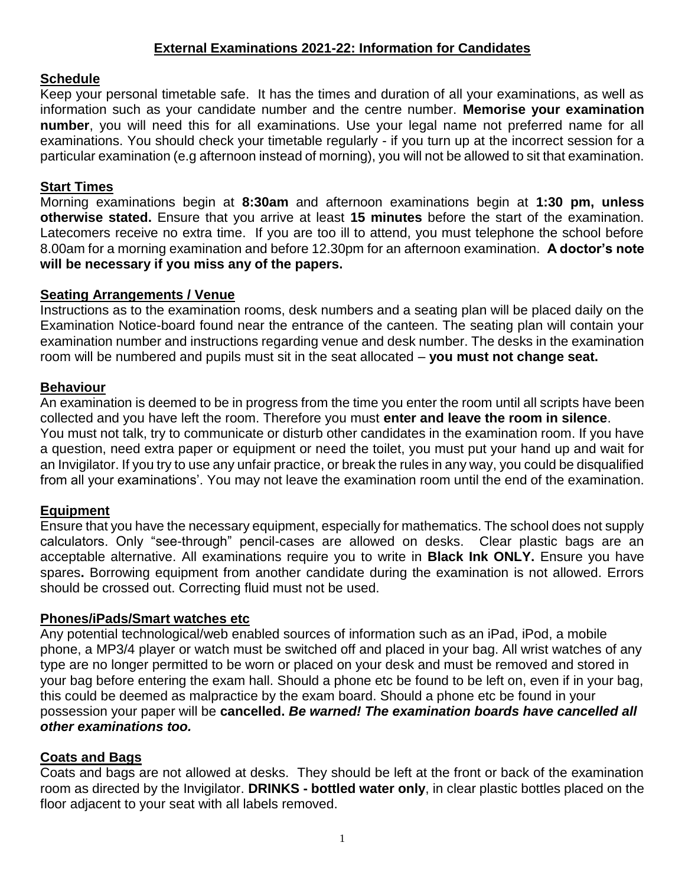# **External Examinations 2021-22: Information for Candidates**

### **Schedule**

Keep your personal timetable safe. It has the times and duration of all your examinations, as well as information such as your candidate number and the centre number. **Memorise your examination number**, you will need this for all examinations. Use your legal name not preferred name for all examinations. You should check your timetable regularly - if you turn up at the incorrect session for a particular examination (e.g afternoon instead of morning), you will not be allowed to sit that examination.

### **Start Times**

Morning examinations begin at **8:30am** and afternoon examinations begin at **1:30 pm, unless otherwise stated.** Ensure that you arrive at least **15 minutes** before the start of the examination. Latecomers receive no extra time. If you are too ill to attend, you must telephone the school before 8.00am for a morning examination and before 12.30pm for an afternoon examination. **A doctor's note will be necessary if you miss any of the papers.**

### **Seating Arrangements / Venue**

Instructions as to the examination rooms, desk numbers and a seating plan will be placed daily on the Examination Notice-board found near the entrance of the canteen. The seating plan will contain your examination number and instructions regarding venue and desk number. The desks in the examination room will be numbered and pupils must sit in the seat allocated – **you must not change seat.**

## **Behaviour**

An examination is deemed to be in progress from the time you enter the room until all scripts have been collected and you have left the room. Therefore you must **enter and leave the room in silence**. You must not talk, try to communicate or disturb other candidates in the examination room. If you have a question, need extra paper or equipment or need the toilet, you must put your hand up and wait for an Invigilator. If you try to use any unfair practice, or break the rules in any way, you could be disqualified from all your examinations'. You may not leave the examination room until the end of the examination.

# **Equipment**

Ensure that you have the necessary equipment, especially for mathematics. The school does not supply calculators. Only "see-through" pencil-cases are allowed on desks. Clear plastic bags are an acceptable alternative. All examinations require you to write in **Black Ink ONLY.** Ensure you have spares**.** Borrowing equipment from another candidate during the examination is not allowed. Errors should be crossed out. Correcting fluid must not be used.

### **Phones/iPads/Smart watches etc**

Any potential technological/web enabled sources of information such as an iPad, iPod, a mobile phone, a MP3/4 player or watch must be switched off and placed in your bag. All wrist watches of any type are no longer permitted to be worn or placed on your desk and must be removed and stored in your bag before entering the exam hall. Should a phone etc be found to be left on, even if in your bag, this could be deemed as malpractice by the exam board. Should a phone etc be found in your possession your paper will be **cancelled.** *Be warned! The examination boards have cancelled all other examinations too.*

### **Coats and Bags**

Coats and bags are not allowed at desks. They should be left at the front or back of the examination room as directed by the Invigilator. **DRINKS - bottled water only**, in clear plastic bottles placed on the floor adjacent to your seat with all labels removed.